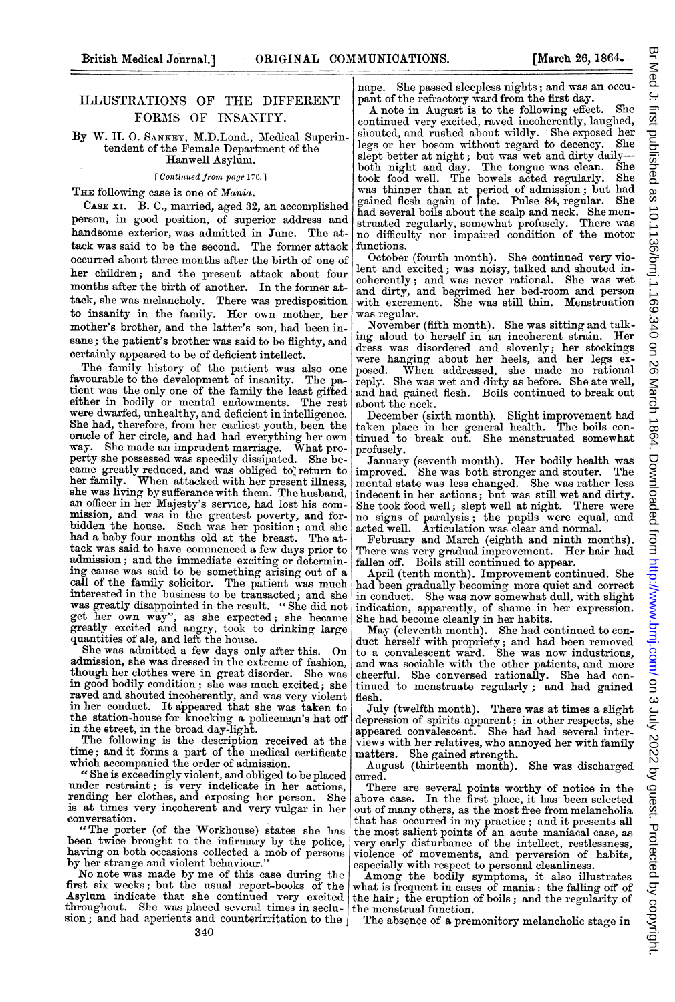## ILLUSTRATIONS OF THE DIFFERENT FORMS OF INSANITY.

By W. H. O. SANKEY, M.D.Lond., Medical Superintendent of the Female Department of the Hanwell Asylum.

[Continued from page 176.]

THE following case is one of Mania.

CASE xI. B. C., married, aged 32, an accomplished person, in good position, of superior address and handsome exterior, was admitted in June. The attack was said to be the second. The former attack occurred about three months after the birth of one of her children; and the present attack about four months after the birth of another. In the former attack, she was melancholy. There was predisposition to insanity in the family. Her own mother, her mother's brother, and the latter's son, had been insane; the patient's brother was said to be flighty, and certainly appeared to be of deficient intellect.

The family history of the patient was also one favourable to the development of insanity. The patient was the only one of the family the least gifted either in bodily or mental endowments. The rest were dwarfed, unhealthy, and deficient in intelligence. She had, therefore, from her earliest youth, been the oracle of her circle, and had had everything her own way. She made an imprudent marriage. What pro-perty she possessed was speedily dissipated. She became greatly reduced, and was obliged to return to her family. When attacked with her present illness, she was living by sufferance with them. The husband, an officer in her Majesty's service, had lost his commission, and was in the greatest poverty, and forbidden the house. Such was her position; and she had a baby four months old at the breast. The attack was said to have commenced a few days prior to admission; and the immediate exciting or determining cause was said to be something arising out of a call of the family solicitor. The patient was much interested in the business to be transacted; and she was greatly disappointed in the result. " She did not get her own way", as she expected; she became greatly excited and angry, took to drinking large quantities of ale, and left the house.

She was admitted a few days only after this. On admission, she was dressed in the extreme of fashion, though her clothes were in great disorder. She was in good bodily condition; she was much excited; she raved and shouted incoherently, and was very violent in her conduct. It appeared that she was taken to the station-house for knocking a policeman's hat off in the street, in the broad day-light.

The following is the description received at the time; and it forms a part of the medical certificate which accompanied the order of admission.

" She is exceedingly violent, and obliged to be placed under restraint; is very indelicate in her actions, rending her clothes, and exposing her person. She is at times very incoherent and very vulgar in her conversation.

"The porter (of the Workhouse) states she has having on both occasions collected a mob of persons by her strange and violent behaviour.'

No note was made by me of this case during the first six weeks; but the usual report-books of the Asylum indicate that she continued very excited throughout. She was placed several times in seclusion; and had aperients and counterirritation to the

A note in August is to the following effect. She continued very excited, raved incoherently, laughed, shouted, and rushed about wildly. She exposed her legs or her bosom without regarad to decency. She slept better at night; but was wet and dirty daily-both night and day. The tongue was clean. She took food well. The bowels acted regularly. She was thinner than at period of admission; but had gained flesh again of late. Pulse 84, regular. She had several boils about the scalp and neck. She mcn-struated regularly, somewhat profusely. There was no difficulty nor impaired condition of the motor functions.

October (fourth month). She continued very violent and excited; was noisy, talked and shouted incoherently; and was never rational. She was wet and dirty, and begrimed her bed-room and person with excrement. She was still thin. Menstruation was regular.

November (fifth month). She was sitting and talking aloud to herself in an incoherent strain. Her dress was disordered and slovenly; her stockings were hanging about her heels, and her legs exposed. When addressed, she made no rational reply. She was wet and dirty as before. She ate well, and had gained flesh. Boils continued to break out about the neck.

December (sixth month). Slight improvement had taken place in her general health. The boils continued to break out. She menstruated somewhat profusely.

January (seventh month). Her bodily health was improved. She was both stronger and stouter. The mental state was less changed. She was rather less indecent in her actions; but was still wet and dirty. She took food well; slept well at night. There were no signs of paralysis; the pupils were equal, and

acted well. Articulation was clear and normal. February and March (eighth and ninth months). There was very gradual improvement. Her hair had fallen off. Boils still continued to appear.

April (tenth month). Improvement continued. She had been gradually becoming more quiet and correct in conduct. She was now somewhat dull, with slight indication, apparently, of shame in her expression. She had become cleanly in her habits.

May (eleventh month). She had continued to conduct herself with propriety; and had been removed to a convalescent ward. She was now industrious, and was sociable with the other patients, and more cheerful. She conversed rationally. She had continued to menstruate regularly; and had gained flesh.

July (twelfth month). There was at times a slight depression of spirits apparent; in other respects, she appeared convalescent. She had had several interviews with her relatives, who annoyed her with family matters. She gained strength.

August (thirteenth month). She was discharged cured.

There are several points worthy of notice in the above case. In the first place, it has been selected out of many others, as the most free from melancholia that has occurred in my practice; and it presents all the most salient points of an acute maniacal case, as very early disturbance of the intellect, restlessness, violence of movements, and perversion of habits, especially with respect to personal cleanliness.

Among the bodily symptoms, it also illustrates what is frequent in cases of mania: the falling off of the hair; the eruption of boils; and the regularity of the menstrual function.

The absence of a premonitory melancholic stage in